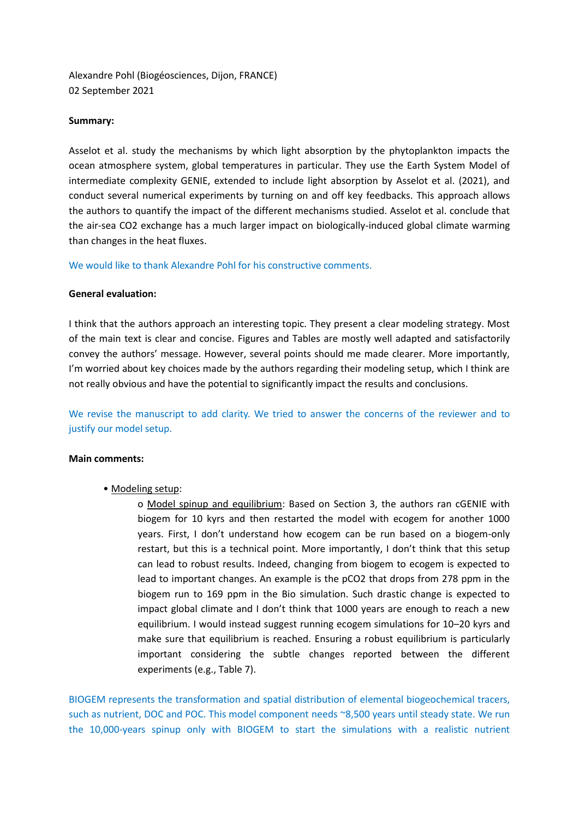Alexandre Pohl (Biogéosciences, Dijon, FRANCE) 02 September 2021

## **Summary:**

Asselot et al. study the mechanisms by which light absorption by the phytoplankton impacts the ocean atmosphere system, global temperatures in particular. They use the Earth System Model of intermediate complexity GENIE, extended to include light absorption by Asselot et al. (2021), and conduct several numerical experiments by turning on and off key feedbacks. This approach allows the authors to quantify the impact of the different mechanisms studied. Asselot et al. conclude that the air-sea CO2 exchange has a much larger impact on biologically-induced global climate warming than changes in the heat fluxes.

We would like to thank Alexandre Pohl for his constructive comments.

## **General evaluation:**

I think that the authors approach an interesting topic. They present a clear modeling strategy. Most of the main text is clear and concise. Figures and Tables are mostly well adapted and satisfactorily convey the authors' message. However, several points should me made clearer. More importantly, I'm worried about key choices made by the authors regarding their modeling setup, which I think are not really obvious and have the potential to significantly impact the results and conclusions.

We revise the manuscript to add clarity. We tried to answer the concerns of the reviewer and to justify our model setup.

## **Main comments:**

• Modeling setup:

o Model spinup and equilibrium: Based on Section 3, the authors ran cGENIE with biogem for 10 kyrs and then restarted the model with ecogem for another 1000 years. First, I don't understand how ecogem can be run based on a biogem-only restart, but this is a technical point. More importantly, I don't think that this setup can lead to robust results. Indeed, changing from biogem to ecogem is expected to lead to important changes. An example is the pCO2 that drops from 278 ppm in the biogem run to 169 ppm in the Bio simulation. Such drastic change is expected to impact global climate and I don't think that 1000 years are enough to reach a new equilibrium. I would instead suggest running ecogem simulations for 10–20 kyrs and make sure that equilibrium is reached. Ensuring a robust equilibrium is particularly important considering the subtle changes reported between the different experiments (e.g., Table 7).

BIOGEM represents the transformation and spatial distribution of elemental biogeochemical tracers, such as nutrient, DOC and POC. This model component needs ~8,500 years until steady state. We run the 10,000-years spinup only with BIOGEM to start the simulations with a realistic nutrient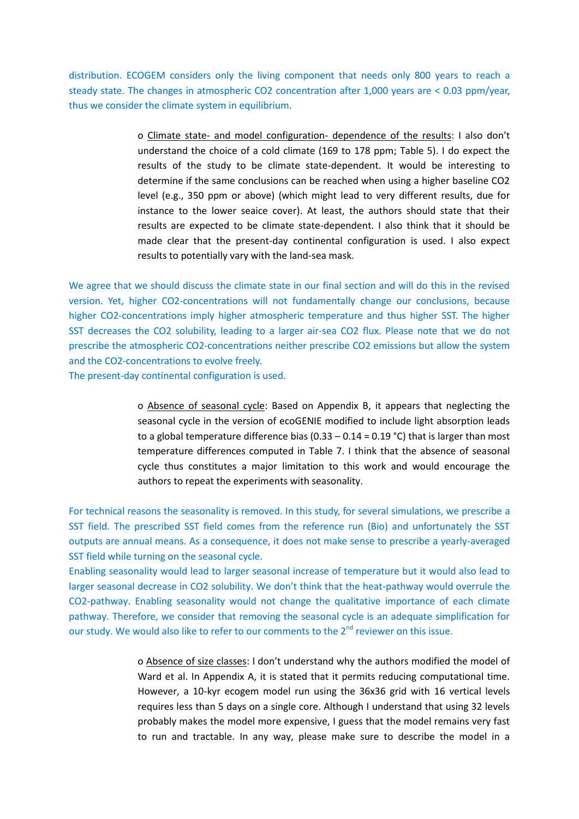distribution. ECOGEM considers only the living component that needs only 800 years to reach a steady state. The changes in atmospheric CO2 concentration after 1,000 years are < 0.03 ppm/year, thus we consider the climate system in equilibrium.

> o Climate state- and model configuration- dependence of the results: I also don't understand the choice of a cold climate (169 to 178 ppm; Table 5). I do expect the results of the study to be climate state-dependent. It would be interesting to determine if the same conclusions can be reached when using a higher baseline CO2 level (e.g., 350 ppm or above) (which might lead to very different results, due for instance to the lower seaice cover). At least, the authors should state that their results are expected to be climate state-dependent. I also think that it should be made clear that the present-day continental configuration is used. I also expect results to potentially vary with the land-sea mask.

We agree that we should discuss the climate state in our final section and will do this in the revised version. Yet, higher CO2-concentrations will not fundamentally change our conclusions, because higher CO2-concentrations imply higher atmospheric temperature and thus higher SST. The higher SST decreases the CO2 solubility, leading to a larger air-sea CO2 flux. Please note that we do not prescribe the atmospheric CO2-concentrations neither prescribe CO2 emissions but allow the system and the CO2-concentrations to evolve freely.

The present-day continental configuration is used.

o Absence of seasonal cycle: Based on Appendix B, it appears that neglecting the seasonal cycle in the version of ecoGENIE modified to include light absorption leads to a global temperature difference bias  $(0.33 - 0.14 = 0.19 \degree C)$  that is larger than most temperature differences computed in Table 7. I think that the absence of seasonal cycle thus constitutes a major limitation to this work and would encourage the authors to repeat the experiments with seasonality.

For technical reasons the seasonality is removed. In this study, for several simulations, we prescribe a SST field. The prescribed SST field comes from the reference run (Bio) and unfortunately the SST outputs are annual means. As a consequence, it does not make sense to prescribe a yearly-averaged SST field while turning on the seasonal cycle.

Enabling seasonality would lead to larger seasonal increase of temperature but it would also lead to larger seasonal decrease in CO2 solubility. We don't think that the heat-pathway would overrule the CO2-pathway. Enabling seasonality would not change the qualitative importance of each climate pathway. Therefore, we consider that removing the seasonal cycle is an adequate simplification for our study. We would also like to refer to our comments to the 2<sup>nd</sup> reviewer on this issue.

> o Absence of size classes: I don't understand why the authors modified the model of Ward et al. In Appendix A, it is stated that it permits reducing computational time. However, a 10-kyr ecogem model run using the 36x36 grid with 16 vertical levels requires less than 5 days on a single core. Although I understand that using 32 levels probably makes the model more expensive, I guess that the model remains very fast to run and tractable. In any way, please make sure to describe the model in a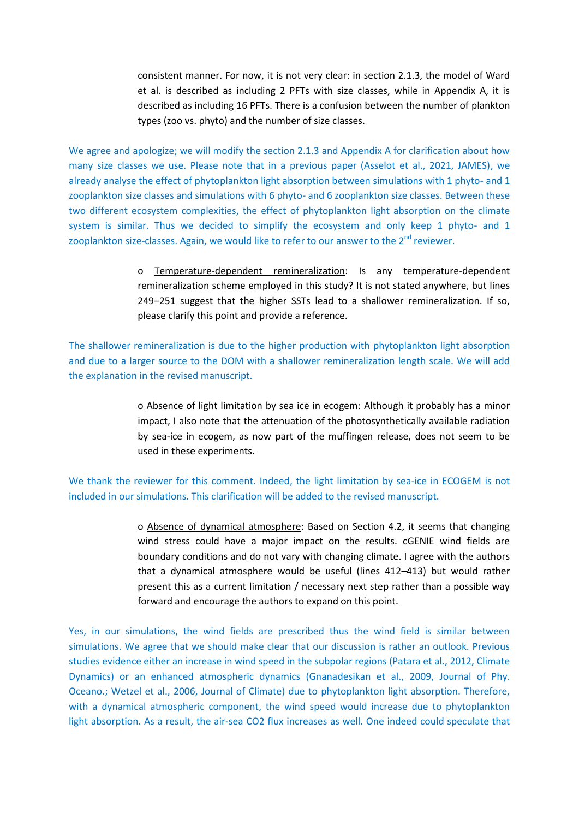consistent manner. For now, it is not very clear: in section 2.1.3, the model of Ward et al. is described as including 2 PFTs with size classes, while in Appendix A, it is described as including 16 PFTs. There is a confusion between the number of plankton types (zoo vs. phyto) and the number of size classes.

We agree and apologize; we will modify the section 2.1.3 and Appendix A for clarification about how many size classes we use. Please note that in a previous paper (Asselot et al., 2021, JAMES), we already analyse the effect of phytoplankton light absorption between simulations with 1 phyto- and 1 zooplankton size classes and simulations with 6 phyto- and 6 zooplankton size classes. Between these two different ecosystem complexities, the effect of phytoplankton light absorption on the climate system is similar. Thus we decided to simplify the ecosystem and only keep 1 phyto- and 1 zooplankton size-classes. Again, we would like to refer to our answer to the  $2<sup>nd</sup>$  reviewer.

> o Temperature-dependent remineralization: Is any temperature-dependent remineralization scheme employed in this study? It is not stated anywhere, but lines 249–251 suggest that the higher SSTs lead to a shallower remineralization. If so, please clarify this point and provide a reference.

The shallower remineralization is due to the higher production with phytoplankton light absorption and due to a larger source to the DOM with a shallower remineralization length scale. We will add the explanation in the revised manuscript.

> o Absence of light limitation by sea ice in ecogem: Although it probably has a minor impact, I also note that the attenuation of the photosynthetically available radiation by sea-ice in ecogem, as now part of the muffingen release, does not seem to be used in these experiments.

We thank the reviewer for this comment. Indeed, the light limitation by sea-ice in ECOGEM is not included in our simulations. This clarification will be added to the revised manuscript.

> o Absence of dynamical atmosphere: Based on Section 4.2, it seems that changing wind stress could have a major impact on the results. cGENIE wind fields are boundary conditions and do not vary with changing climate. I agree with the authors that a dynamical atmosphere would be useful (lines 412–413) but would rather present this as a current limitation / necessary next step rather than a possible way forward and encourage the authors to expand on this point.

Yes, in our simulations, the wind fields are prescribed thus the wind field is similar between simulations. We agree that we should make clear that our discussion is rather an outlook. Previous studies evidence either an increase in wind speed in the subpolar regions (Patara et al., 2012, Climate Dynamics) or an enhanced atmospheric dynamics (Gnanadesikan et al., 2009, Journal of Phy. Oceano.; Wetzel et al., 2006, Journal of Climate) due to phytoplankton light absorption. Therefore, with a dynamical atmospheric component, the wind speed would increase due to phytoplankton light absorption. As a result, the air-sea CO2 flux increases as well. One indeed could speculate that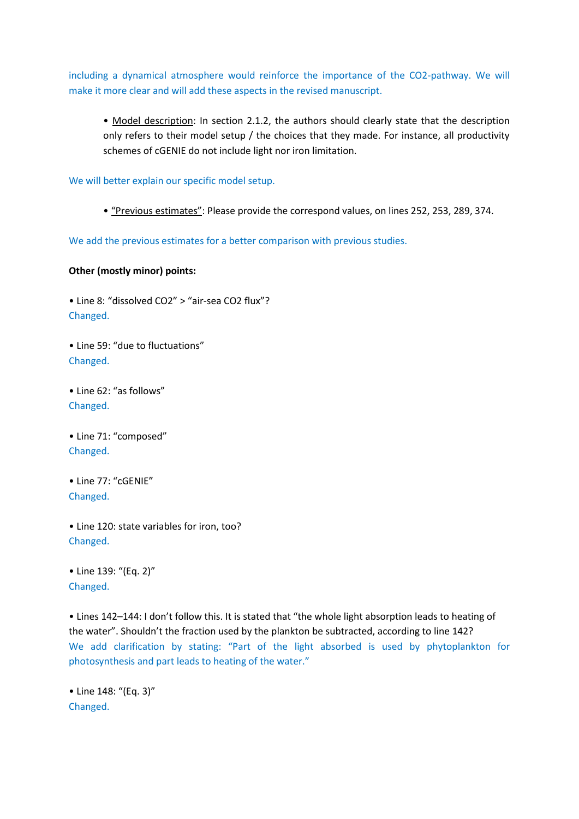including a dynamical atmosphere would reinforce the importance of the CO2-pathway. We will make it more clear and will add these aspects in the revised manuscript.

• Model description: In section 2.1.2, the authors should clearly state that the description only refers to their model setup / the choices that they made. For instance, all productivity schemes of cGENIE do not include light nor iron limitation.

We will better explain our specific model setup.

• "Previous estimates": Please provide the correspond values, on lines 252, 253, 289, 374.

We add the previous estimates for a better comparison with previous studies.

## **Other (mostly minor) points:**

• Line 8: "dissolved CO2" > "air-sea CO2 flux"? Changed.

• Line 59: "due to fluctuations" Changed.

• Line 62: "as follows" Changed.

• Line 71: "composed" Changed.

• Line 77: "cGENIE" Changed.

• Line 120: state variables for iron, too? Changed.

• Line 139: "(Eq. 2)" Changed.

• Lines 142–144: I don't follow this. It is stated that "the whole light absorption leads to heating of the water". Shouldn't the fraction used by the plankton be subtracted, according to line 142? We add clarification by stating: "Part of the light absorbed is used by phytoplankton for photosynthesis and part leads to heating of the water."

• Line 148: "(Eq. 3)" Changed.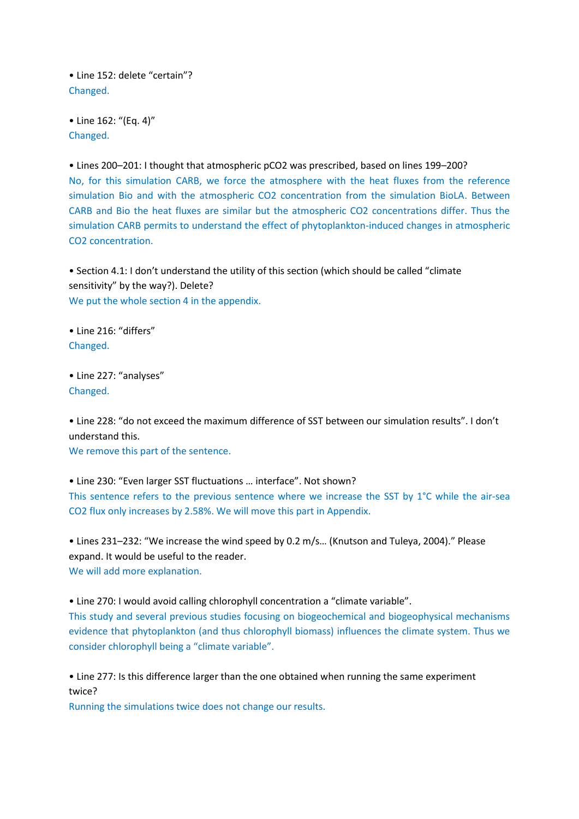• Line 152: delete "certain"? Changed.

• Line 162: "(Eq. 4)" Changed.

• Lines 200–201: I thought that atmospheric pCO2 was prescribed, based on lines 199–200? No, for this simulation CARB, we force the atmosphere with the heat fluxes from the reference simulation Bio and with the atmospheric CO2 concentration from the simulation BioLA. Between CARB and Bio the heat fluxes are similar but the atmospheric CO2 concentrations differ. Thus the simulation CARB permits to understand the effect of phytoplankton-induced changes in atmospheric CO2 concentration.

• Section 4.1: I don't understand the utility of this section (which should be called "climate sensitivity" by the way?). Delete? We put the whole section 4 in the appendix.

• Line 216: "differs" Changed.

• Line 227: "analyses" Changed.

• Line 228: "do not exceed the maximum difference of SST between our simulation results". I don't understand this.

We remove this part of the sentence.

• Line 230: "Even larger SST fluctuations … interface". Not shown? This sentence refers to the previous sentence where we increase the SST by 1°C while the air-sea CO2 flux only increases by 2.58%. We will move this part in Appendix.

• Lines 231–232: "We increase the wind speed by 0.2 m/s… (Knutson and Tuleya, 2004)." Please expand. It would be useful to the reader. We will add more explanation.

• Line 270: I would avoid calling chlorophyll concentration a "climate variable". This study and several previous studies focusing on biogeochemical and biogeophysical mechanisms evidence that phytoplankton (and thus chlorophyll biomass) influences the climate system. Thus we consider chlorophyll being a "climate variable".

• Line 277: Is this difference larger than the one obtained when running the same experiment twice?

Running the simulations twice does not change our results.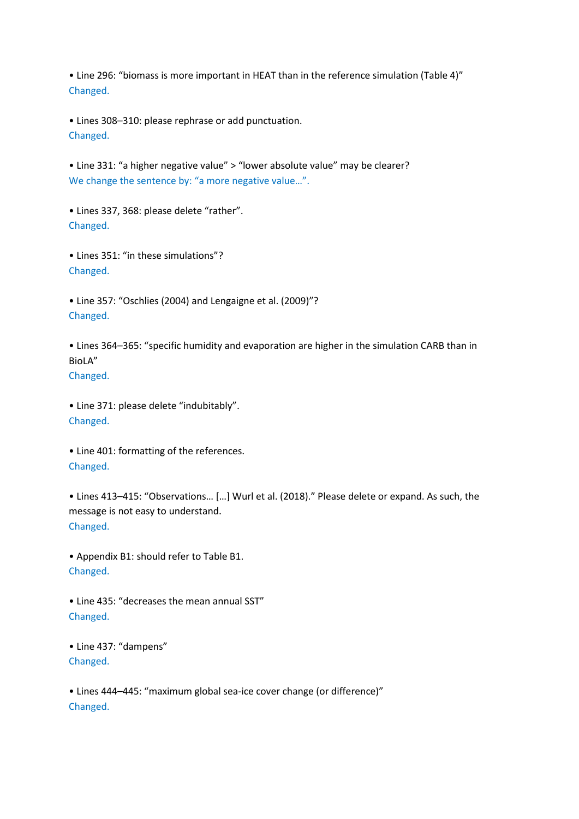• Line 296: "biomass is more important in HEAT than in the reference simulation (Table 4)" Changed.

• Lines 308–310: please rephrase or add punctuation. Changed.

• Line 331: "a higher negative value" > "lower absolute value" may be clearer? We change the sentence by: "a more negative value...".

• Lines 337, 368: please delete "rather". Changed.

• Lines 351: "in these simulations"? Changed.

• Line 357: "Oschlies (2004) and Lengaigne et al. (2009)"? Changed.

• Lines 364–365: "specific humidity and evaporation are higher in the simulation CARB than in BioLA" Changed.

• Line 371: please delete "indubitably". Changed.

• Line 401: formatting of the references. Changed.

• Lines 413–415: "Observations… […] Wurl et al. (2018)." Please delete or expand. As such, the message is not easy to understand. Changed.

• Appendix B1: should refer to Table B1. Changed.

• Line 435: "decreases the mean annual SST" Changed.

• Line 437: "dampens" Changed.

• Lines 444–445: "maximum global sea-ice cover change (or difference)" Changed.